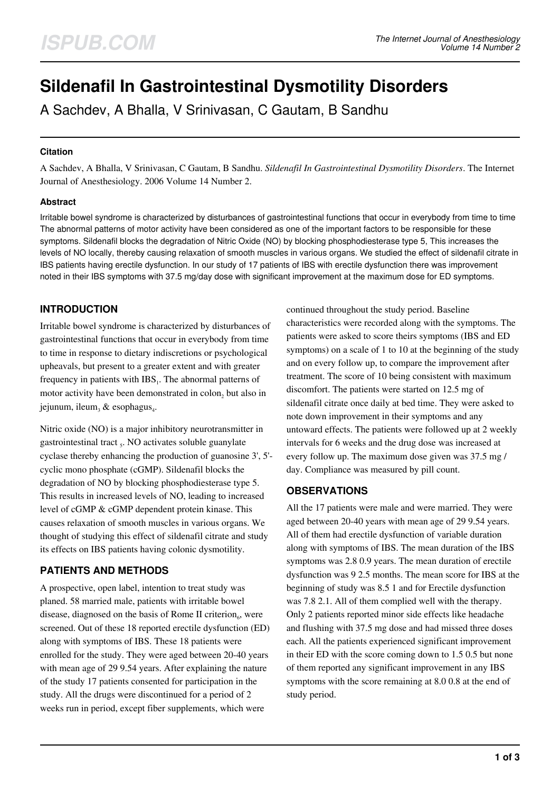# **Sildenafil In Gastrointestinal Dysmotility Disorders**

A Sachdev, A Bhalla, V Srinivasan, C Gautam, B Sandhu

## **Citation**

A Sachdev, A Bhalla, V Srinivasan, C Gautam, B Sandhu. *Sildenafil In Gastrointestinal Dysmotility Disorders*. The Internet Journal of Anesthesiology. 2006 Volume 14 Number 2.

## **Abstract**

Irritable bowel syndrome is characterized by disturbances of gastrointestinal functions that occur in everybody from time to time The abnormal patterns of motor activity have been considered as one of the important factors to be responsible for these symptoms. Sildenafil blocks the degradation of Nitric Oxide (NO) by blocking phosphodiesterase type 5, This increases the levels of NO locally, thereby causing relaxation of smooth muscles in various organs. We studied the effect of sildenafil citrate in IBS patients having erectile dysfunction. In our study of 17 patients of IBS with erectile dysfunction there was improvement noted in their IBS symptoms with 37.5 mg/day dose with significant improvement at the maximum dose for ED symptoms.

# **INTRODUCTION**

Irritable bowel syndrome is characterized by disturbances of gastrointestinal functions that occur in everybody from time to time in response to dietary indiscretions or psychological upheavals, but present to a greater extent and with greater frequency in patients with  $\text{IBS}_1$ . The abnormal patterns of motor activity have been demonstrated in  $\text{colon}_2$  but also in jejunum, ileum,  $\&$  esophagus.

Nitric oxide (NO) is a major inhibitory neurotransmitter in gastrointestinal tract <sub>5</sub>. NO activates soluble guanylate cyclase thereby enhancing the production of guanosine 3', 5' cyclic mono phosphate (cGMP). Sildenafil blocks the degradation of NO by blocking phosphodiesterase type 5. This results in increased levels of NO, leading to increased level of cGMP & cGMP dependent protein kinase. This causes relaxation of smooth muscles in various organs. We thought of studying this effect of sildenafil citrate and study its effects on IBS patients having colonic dysmotility.

# **PATIENTS AND METHODS**

A prospective, open label, intention to treat study was planed. 58 married male, patients with irritable bowel disease, diagnosed on the basis of Rome II criterion<sub>6</sub>, were screened. Out of these 18 reported erectile dysfunction (ED) along with symptoms of IBS. These 18 patients were enrolled for the study. They were aged between 20-40 years with mean age of 29 9.54 years. After explaining the nature of the study 17 patients consented for participation in the study. All the drugs were discontinued for a period of 2 weeks run in period, except fiber supplements, which were

continued throughout the study period. Baseline characteristics were recorded along with the symptoms. The patients were asked to score theirs symptoms (IBS and ED symptoms) on a scale of 1 to 10 at the beginning of the study and on every follow up, to compare the improvement after treatment. The score of 10 being consistent with maximum discomfort. The patients were started on 12.5 mg of sildenafil citrate once daily at bed time. They were asked to note down improvement in their symptoms and any untoward effects. The patients were followed up at 2 weekly intervals for 6 weeks and the drug dose was increased at every follow up. The maximum dose given was 37.5 mg / day. Compliance was measured by pill count.

## **OBSERVATIONS**

All the 17 patients were male and were married. They were aged between 20-40 years with mean age of 29 9.54 years. All of them had erectile dysfunction of variable duration along with symptoms of IBS. The mean duration of the IBS symptoms was 2.8 0.9 years. The mean duration of erectile dysfunction was 9 2.5 months. The mean score for IBS at the beginning of study was 8.5 1 and for Erectile dysfunction was 7.8 2.1. All of them complied well with the therapy. Only 2 patients reported minor side effects like headache and flushing with 37.5 mg dose and had missed three doses each. All the patients experienced significant improvement in their ED with the score coming down to 1.5 0.5 but none of them reported any significant improvement in any IBS symptoms with the score remaining at 8.0 0.8 at the end of study period.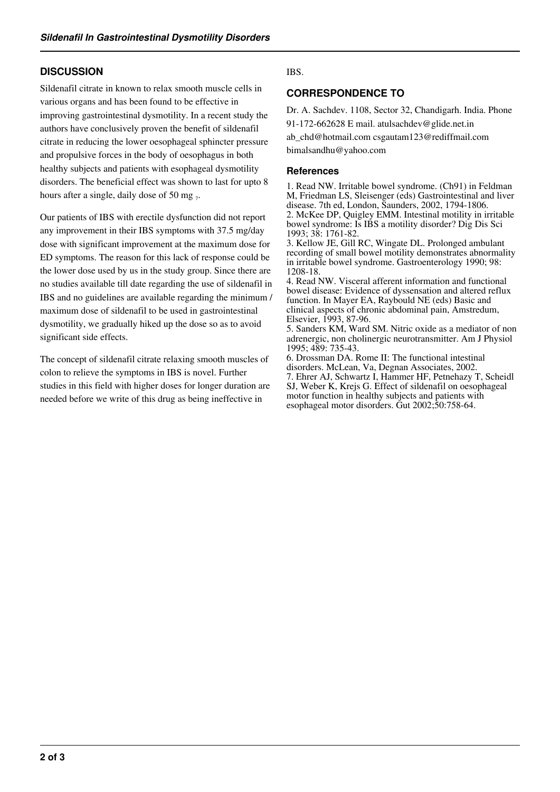# **DISCUSSION**

Sildenafil citrate in known to relax smooth muscle cells in various organs and has been found to be effective in improving gastrointestinal dysmotility. In a recent study the authors have conclusively proven the benefit of sildenafil citrate in reducing the lower oesophageal sphincter pressure and propulsive forces in the body of oesophagus in both healthy subjects and patients with esophageal dysmotility disorders. The beneficial effect was shown to last for upto 8 hours after a single, daily dose of 50 mg  $_7$ .

Our patients of IBS with erectile dysfunction did not report any improvement in their IBS symptoms with 37.5 mg/day dose with significant improvement at the maximum dose for ED symptoms. The reason for this lack of response could be the lower dose used by us in the study group. Since there are no studies available till date regarding the use of sildenafil in IBS and no guidelines are available regarding the minimum / maximum dose of sildenafil to be used in gastrointestinal dysmotility, we gradually hiked up the dose so as to avoid significant side effects.

The concept of sildenafil citrate relaxing smooth muscles of colon to relieve the symptoms in IBS is novel. Further studies in this field with higher doses for longer duration are needed before we write of this drug as being ineffective in

## IBS.

## **CORRESPONDENCE TO**

Dr. A. Sachdev. 1108, Sector 32, Chandigarh. India. Phone 91-172-662628 E mail. atulsachdev@glide.net.in

ab\_chd@hotmail.com csgautam123@rediffmail.com

bimalsandhu@yahoo.com

#### **References**

1. Read NW. Irritable bowel syndrome. (Ch91) in Feldman M, Friedman LS, Sleisenger (eds) Gastrointestinal and liver disease. 7th ed, London, Saunders, 2002, 1794-1806. 2. McKee DP, Quigley EMM. Intestinal motility in irritable bowel syndrome: Is IBS a motility disorder? Dig Dis Sci 1993; 38: 1761-82.

3. Kellow JE, Gill RC, Wingate DL. Prolonged ambulant recording of small bowel motility demonstrates abnormality in irritable bowel syndrome. Gastroenterology 1990; 98: 1208-18.

4. Read NW. Visceral afferent information and functional bowel disease: Evidence of dyssensation and altered reflux function. In Mayer EA, Raybould NE (eds) Basic and clinical aspects of chronic abdominal pain, Amstredum, Elsevier, 1993, 87-96.

5. Sanders KM, Ward SM. Nitric oxide as a mediator of non adrenergic, non cholinergic neurotransmitter. Am J Physiol 1995; 489: 735-43.

6. Drossman DA. Rome II: The functional intestinal disorders. McLean, Va, Degnan Associates, 2002. 7. Ehrer AJ, Schwartz I, Hammer HF, Petnehazy T, Scheidl SJ, Weber K, Krejs G. Effect of sildenafil on oesophageal motor function in healthy subjects and patients with esophageal motor disorders. Gut 2002;50:758-64.